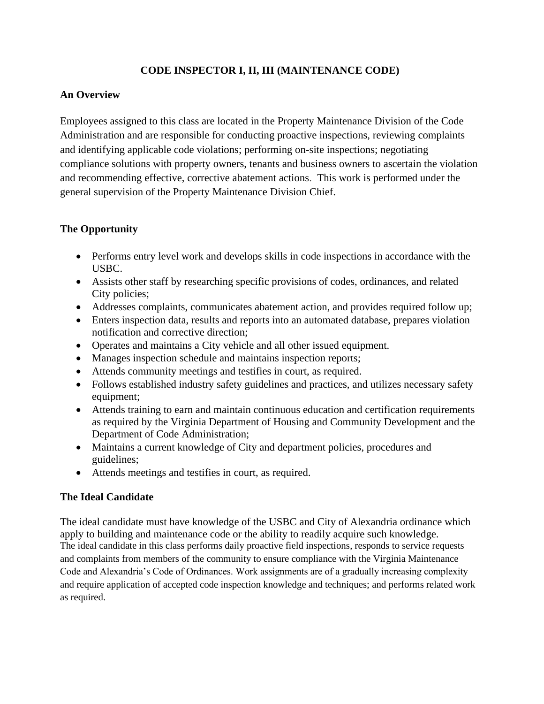# **CODE INSPECTOR I, II, III (MAINTENANCE CODE)**

### **An Overview**

Employees assigned to this class are located in the Property Maintenance Division of the Code Administration and are responsible for conducting proactive inspections, reviewing complaints and identifying applicable code violations; performing on-site inspections; negotiating compliance solutions with property owners, tenants and business owners to ascertain the violation and recommending effective, corrective abatement actions. This work is performed under the general supervision of the Property Maintenance Division Chief.

## **The Opportunity**

- Performs entry level work and develops skills in code inspections in accordance with the USBC.
- Assists other staff by researching specific provisions of codes, ordinances, and related City policies;
- Addresses complaints, communicates abatement action, and provides required follow up;
- Enters inspection data, results and reports into an automated database, prepares violation notification and corrective direction;
- Operates and maintains a City vehicle and all other issued equipment.
- Manages inspection schedule and maintains inspection reports;
- Attends community meetings and testifies in court, as required.
- Follows established industry safety guidelines and practices, and utilizes necessary safety equipment;
- Attends training to earn and maintain continuous education and certification requirements as required by the Virginia Department of Housing and Community Development and the Department of Code Administration;
- Maintains a current knowledge of City and department policies, procedures and guidelines;
- Attends meetings and testifies in court, as required.

# **The Ideal Candidate**

The ideal candidate must have knowledge of the USBC and City of Alexandria ordinance which apply to building and maintenance code or the ability to readily acquire such knowledge. The ideal candidate in this class performs daily proactive field inspections, responds to service requests and complaints from members of the community to ensure compliance with the Virginia Maintenance Code and Alexandria's Code of Ordinances. Work assignments are of a gradually increasing complexity and require application of accepted code inspection knowledge and techniques; and performs related work as required.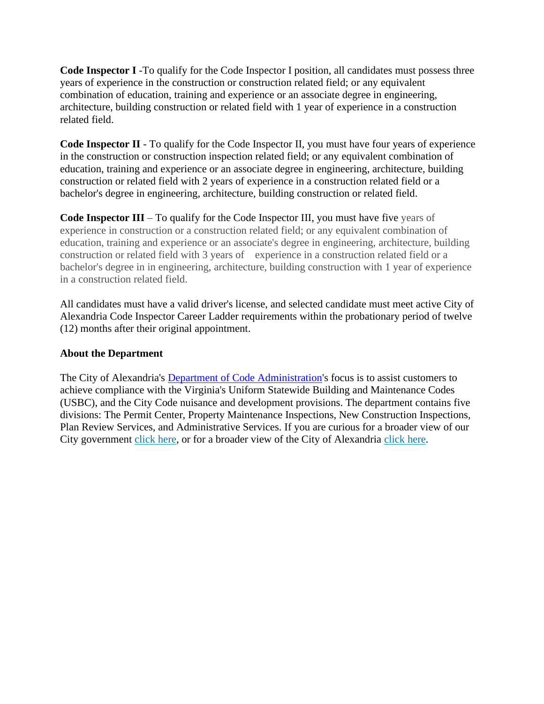**Code Inspector I** -To qualify for the Code Inspector I position, all candidates must possess three years of experience in the construction or construction related field; or any equivalent combination of education, training and experience or an associate degree in engineering, architecture, building construction or related field with 1 year of experience in a construction related field.

**Code Inspector II** - To qualify for the Code Inspector II, you must have four years of experience in the construction or construction inspection related field; or any equivalent combination of education, training and experience or an associate degree in engineering, architecture, building construction or related field with 2 years of experience in a construction related field or a bachelor's degree in engineering, architecture, building construction or related field.

**Code Inspector III** – To qualify for the Code Inspector III, you must have five years of experience in construction or a construction related field; or any equivalent combination of education, training and experience or an associate's degree in engineering, architecture, building construction or related field with 3 years of experience in a construction related field or a bachelor's degree in in engineering, architecture, building construction with 1 year of experience in a construction related field.

All candidates must have a valid driver's license, and selected candidate must meet active City of Alexandria Code Inspector Career Ladder requirements within the probationary period of twelve (12) months after their original appointment.

#### **About the Department**

The City of Alexandria's [Department of Code Administration's](https://www.alexandriava.gov/Code) focus is to assist customers to achieve compliance with the Virginia's Uniform Statewide Building and Maintenance Codes (USBC), and the City Code nuisance and development provisions. The department contains five divisions: The Permit Center, Property Maintenance Inspections, New Construction Inspections, Plan Review Services, and Administrative Services. If you are curious for a broader view of our City government [click here,](https://www.alexandriava.gov/Government) or for a broader view of the City of Alexandria [click here.](https://www.visitalexandriava.com/plan/about/)